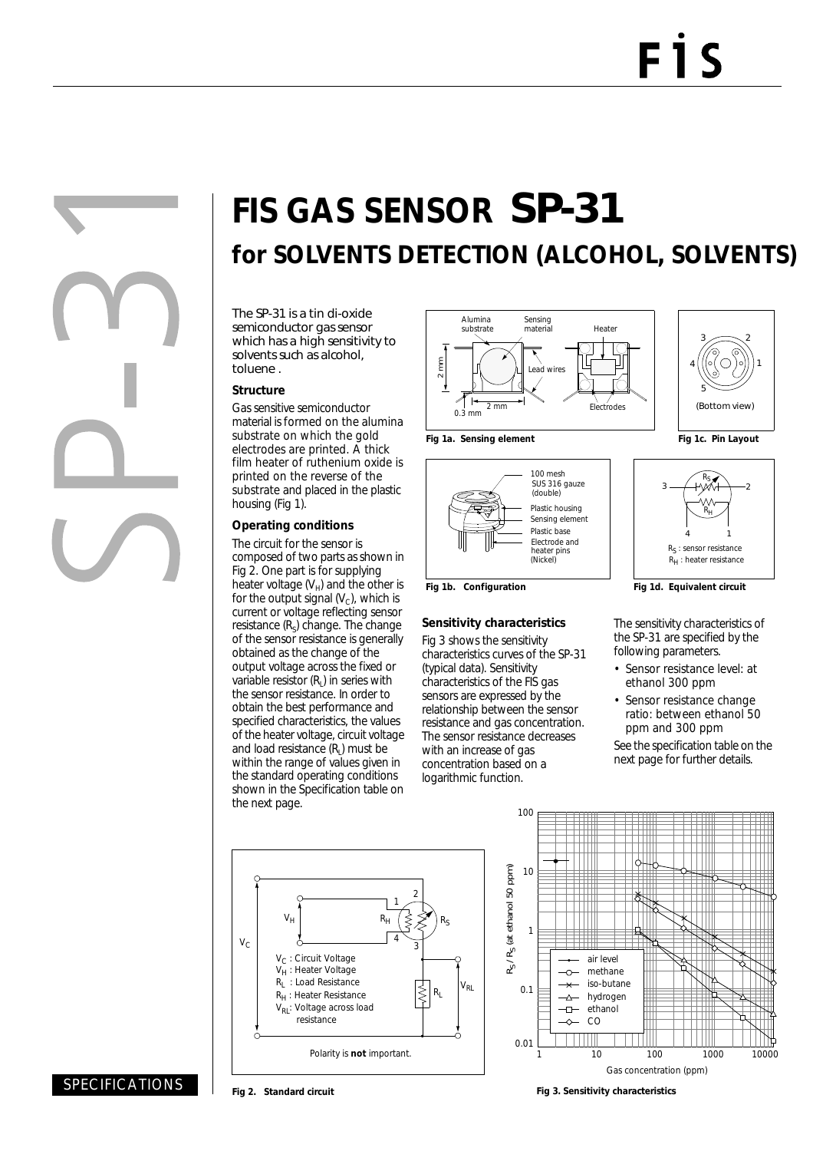# **FIS GAS SENSOR** SP-31 **for SOLVENTS DETECTION (ALCOHOL, SOLVENTS)**

The SP-31 is a tin di-oxide semiconductor gas sensor which has a high sensitivity to solvents such as alcohol, toluene .

#### **Structure**

Gas sensitive semiconductor material is formed on the alumina substrate on which the gold electrodes are printed. A thick film heater of ruthenium oxide is printed on the reverse of the substrate and placed in the plastic housing (Fig 1).

### **Operating conditions**

The circuit for the sensor is composed of two parts as shown in Fig 2. One part is for supplying heater voltage  $(V_H)$  and the other is for the output signal  $(V<sub>c</sub>)$ , which is current or voltage reflecting sensor resistance  $(R<sub>s</sub>)$  change. The change of the sensor resistance is generally obtained as the change of the output voltage across the fixed or variable resistor  $(R<sub>1</sub>)$  in series with the sensor resistance. In order to obtain the best performance and specified characteristics, the values of the heater voltage, circuit voltage and load resistance  $(R<sub>1</sub>)$  must be within the range of values given in the standard operating conditions shown in the Specification table on the next page.





Fig 1b. Configuration **Fig 1d. Equivalent circuit** 

#### **Sensitivity characteristics**

Fig 3 shows the sensitivity characteristics curves of the SP-31 (typical data). Sensitivity characteristics of the FIS gas sensors are expressed by the relationship between the sensor resistance and gas concentration. The sensor resistance decreases with an increase of gas concentration based on a logarithmic function.





The sensitivity characteristics of the SP-31 are specified by the following parameters.

- Sensor resistance level: at ethanol 300 ppm
- Sensor resistance change ratio: between ethanol 50 ppm and 300 ppm

See the specification table on the next page for further details.





## SPECIFICATIONS

**Fig 2. Standard circuit**

**Fig 3. Sensitivity characteristics**